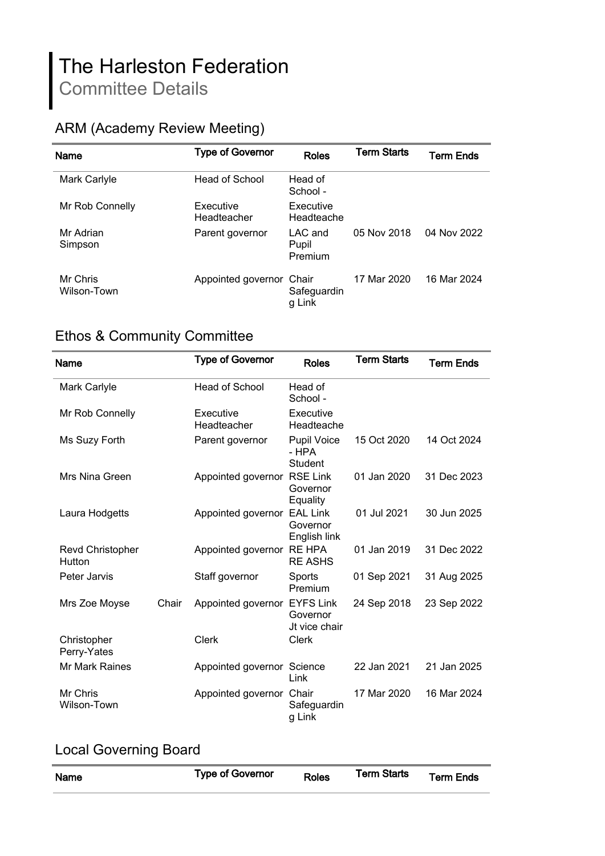# The Harleston Federation Committee Details

## ARM (Academy Review Meeting)

| <b>Name</b>             | <b>Type of Governor</b>  | Roles                          | <b>Term Starts</b> | Term Ends   |
|-------------------------|--------------------------|--------------------------------|--------------------|-------------|
| Mark Carlyle            | Head of School           | Head of<br>School -            |                    |             |
| Mr Rob Connelly         | Executive<br>Headteacher | Executive<br>Headteache        |                    |             |
| Mr Adrian<br>Simpson    | Parent governor          | $LAC$ and<br>Pupil<br>Premium  | 05 Nov 2018        | 04 Nov 2022 |
| Mr Chris<br>Wilson-Town | Appointed governor       | Chair<br>Safeguardin<br>g Link | 17 Mar 2020        | 16 Mar 2024 |

## Ethos & Community Committee

| Name                              |       | <b>Type of Governor</b>    | <b>Roles</b>                                  | <b>Term Starts</b> | <b>Term Ends</b> |
|-----------------------------------|-------|----------------------------|-----------------------------------------------|--------------------|------------------|
| Mark Carlyle                      |       | <b>Head of School</b>      | Head of<br>School -                           |                    |                  |
| Mr Rob Connelly                   |       | Executive<br>Headteacher   | Executive<br>Headteache                       |                    |                  |
| Ms Suzy Forth                     |       | Parent governor            | <b>Pupil Voice</b><br>- HPA<br><b>Student</b> | 15 Oct 2020        | 14 Oct 2024      |
| Mrs Nina Green                    |       | Appointed governor         | <b>RSE Link</b><br>Governor<br>Equality       | 01 Jan 2020        | 31 Dec 2023      |
| Laura Hodgetts                    |       | Appointed governor         | <b>EAL Link</b><br>Governor<br>English link   | 01 Jul 2021        | 30 Jun 2025      |
| <b>Revd Christopher</b><br>Hutton |       | Appointed governor         | <b>RE HPA</b><br><b>RE ASHS</b>               | 01 Jan 2019        | 31 Dec 2022      |
| Peter Jarvis                      |       | Staff governor             | Sports<br>Premium                             | 01 Sep 2021        | 31 Aug 2025      |
| Mrs Zoe Moyse                     | Chair | Appointed governor         | <b>EYFS Link</b><br>Governor<br>Jt vice chair | 24 Sep 2018        | 23 Sep 2022      |
| Christopher<br>Perry-Yates        |       | Clerk                      | Clerk                                         |                    |                  |
| Mr Mark Raines                    |       | Appointed governor Science | Link                                          | 22 Jan 2021        | 21 Jan 2025      |
| Mr Chris<br>Wilson-Town           |       | Appointed governor         | Chair<br>Safeguardin<br>g Link                | 17 Mar 2020        | 16 Mar 2024      |

#### Local Governing Board

| <b>Type of Governor</b><br><b>Term Starts</b><br><b>Term Ends</b><br><b>Roles</b><br>Name |  |
|-------------------------------------------------------------------------------------------|--|
|-------------------------------------------------------------------------------------------|--|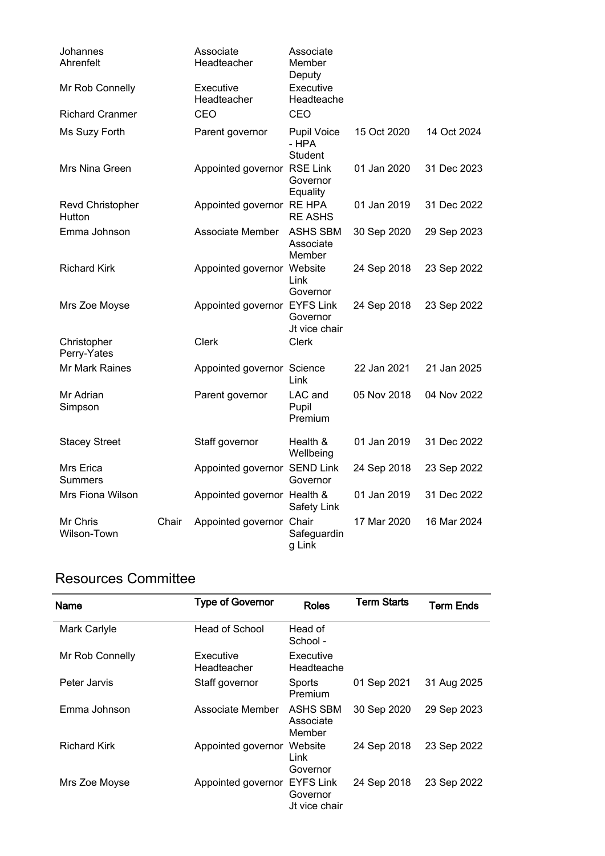| Johannes<br>Ahrenfelt             |       | Associate<br>Headteacher     | Associate<br>Member<br>Deputy          |             |             |
|-----------------------------------|-------|------------------------------|----------------------------------------|-------------|-------------|
| Mr Rob Connelly                   |       | Executive<br>Headteacher     | Executive<br>Headteache                |             |             |
| <b>Richard Cranmer</b>            |       | CEO                          | CEO                                    |             |             |
| Ms Suzy Forth                     |       | Parent governor              | <b>Pupil Voice</b><br>- HPA<br>Student | 15 Oct 2020 | 14 Oct 2024 |
| Mrs Nina Green                    |       | Appointed governor RSE Link  | Governor<br>Equality                   | 01 Jan 2020 | 31 Dec 2023 |
| <b>Revd Christopher</b><br>Hutton |       | Appointed governor RE HPA    | <b>RE ASHS</b>                         | 01 Jan 2019 | 31 Dec 2022 |
| Emma Johnson                      |       | Associate Member             | <b>ASHS SBM</b><br>Associate<br>Member | 30 Sep 2020 | 29 Sep 2023 |
| <b>Richard Kirk</b>               |       | Appointed governor Website   | Link<br>Governor                       | 24 Sep 2018 | 23 Sep 2022 |
| Mrs Zoe Moyse                     |       | Appointed governor EYFS Link | Governor<br>Jt vice chair              | 24 Sep 2018 | 23 Sep 2022 |
| Christopher<br>Perry-Yates        |       | <b>Clerk</b>                 | <b>Clerk</b>                           |             |             |
| Mr Mark Raines                    |       | Appointed governor Science   | Link                                   | 22 Jan 2021 | 21 Jan 2025 |
| Mr Adrian<br>Simpson              |       | Parent governor              | LAC and<br>Pupil<br>Premium            | 05 Nov 2018 | 04 Nov 2022 |
| <b>Stacey Street</b>              |       | Staff governor               | Health &<br>Wellbeing                  | 01 Jan 2019 | 31 Dec 2022 |
| Mrs Erica<br><b>Summers</b>       |       | Appointed governor SEND Link | Governor                               | 24 Sep 2018 | 23 Sep 2022 |
| Mrs Fiona Wilson                  |       | Appointed governor Health &  | <b>Safety Link</b>                     | 01 Jan 2019 | 31 Dec 2022 |
| Mr Chris<br>Wilson-Town           | Chair | Appointed governor           | Chair<br>Safeguardin<br>g Link         | 17 Mar 2020 | 16 Mar 2024 |

### Resources Committee

| <b>Name</b>         | <b>Type of Governor</b>  | <b>Roles</b>                                  | <b>Term Starts</b> | <b>Term Ends</b> |
|---------------------|--------------------------|-----------------------------------------------|--------------------|------------------|
| Mark Carlyle        | Head of School           | Head of<br>School -                           |                    |                  |
| Mr Rob Connelly     | Executive<br>Headteacher | Executive<br>Headteache                       |                    |                  |
| Peter Jarvis        | Staff governor           | Sports<br>Premium                             | 01 Sep 2021        | 31 Aug 2025      |
| Emma Johnson        | Associate Member         | ASHS SBM<br>Associate<br>Member               | 30 Sep 2020        | 29 Sep 2023      |
| <b>Richard Kirk</b> | Appointed governor       | Website<br>Link<br>Governor                   | 24 Sep 2018        | 23 Sep 2022      |
| Mrs Zoe Moyse       | Appointed governor       | <b>EYFS Link</b><br>Governor<br>Jt vice chair | 24 Sep 2018        | 23 Sep 2022      |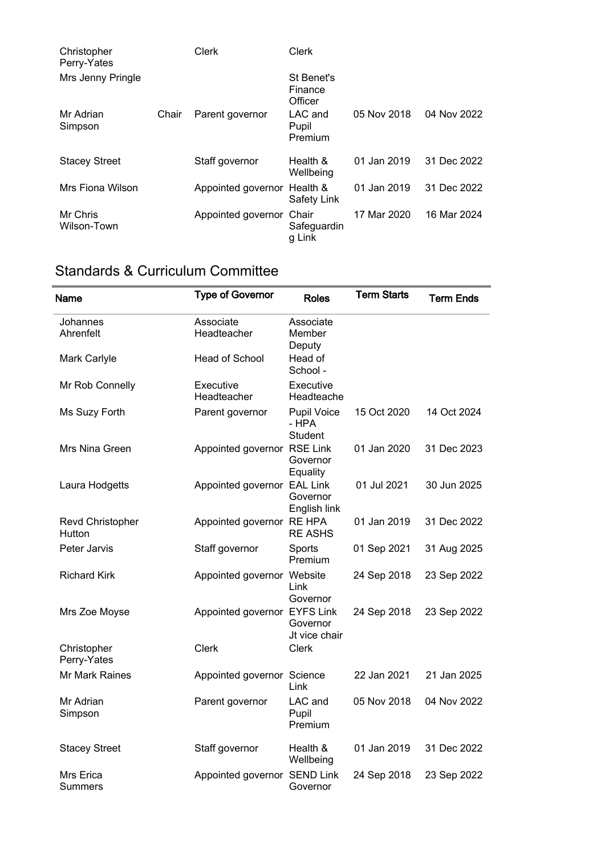| Christopher<br>Perry-Yates |       | Clerk                       | Clerk                            |             |             |
|----------------------------|-------|-----------------------------|----------------------------------|-------------|-------------|
| Mrs Jenny Pringle          |       |                             | St Benet's<br>Finance<br>Officer |             |             |
| Mr Adrian<br>Simpson       | Chair | Parent governor             | LAC and<br>Pupil<br>Premium      | 05 Nov 2018 | 04 Nov 2022 |
| <b>Stacey Street</b>       |       | Staff governor              | Health &<br>Wellbeing            | 01 Jan 2019 | 31 Dec 2022 |
| Mrs Fiona Wilson           |       | Appointed governor Health & | Safety Link                      | 01 Jan 2019 | 31 Dec 2022 |
| Mr Chris<br>Wilson-Town    |       | Appointed governor          | Chair<br>Safeguardin<br>g Link   | 17 Mar 2020 | 16 Mar 2024 |

## Standards & Curriculum Committee

| Name                       | <b>Type of Governor</b>      | <b>Roles</b>                                  | <b>Term Starts</b> | <b>Term Ends</b> |
|----------------------------|------------------------------|-----------------------------------------------|--------------------|------------------|
| Johannes<br>Ahrenfelt      | Associate<br>Headteacher     | Associate<br>Member<br>Deputy                 |                    |                  |
| Mark Carlyle               | Head of School               | Head of<br>School -                           |                    |                  |
| Mr Rob Connelly            | Executive<br>Headteacher     | Executive<br>Headteache                       |                    |                  |
| Ms Suzy Forth              | Parent governor              | <b>Pupil Voice</b><br>- HPA<br><b>Student</b> | 15 Oct 2020        | 14 Oct 2024      |
| Mrs Nina Green             | Appointed governor RSE Link  | Governor<br>Equality                          | 01 Jan 2020        | 31 Dec 2023      |
| Laura Hodgetts             | Appointed governor EAL Link  | Governor<br>English link                      | 01 Jul 2021        | 30 Jun 2025      |
| Revd Christopher<br>Hutton | Appointed governor RE HPA    | <b>RE ASHS</b>                                | 01 Jan 2019        | 31 Dec 2022      |
| Peter Jarvis               | Staff governor               | Sports<br>Premium                             | 01 Sep 2021        | 31 Aug 2025      |
| <b>Richard Kirk</b>        | Appointed governor Website   | Link<br>Governor                              | 24 Sep 2018        | 23 Sep 2022      |
| Mrs Zoe Moyse              | Appointed governor EYFS Link | Governor<br>Jt vice chair                     | 24 Sep 2018        | 23 Sep 2022      |
| Christopher<br>Perry-Yates | <b>Clerk</b>                 | Clerk                                         |                    |                  |
| <b>Mr Mark Raines</b>      | Appointed governor Science   | Link                                          | 22 Jan 2021        | 21 Jan 2025      |
| Mr Adrian<br>Simpson       | Parent governor              | LAC and<br>Pupil<br>Premium                   | 05 Nov 2018        | 04 Nov 2022      |
| <b>Stacey Street</b>       | Staff governor               | Health &<br>Wellbeing                         | 01 Jan 2019        | 31 Dec 2022      |
| Mrs Erica<br>Summers       | Appointed governor SEND Link | Governor                                      | 24 Sep 2018        | 23 Sep 2022      |